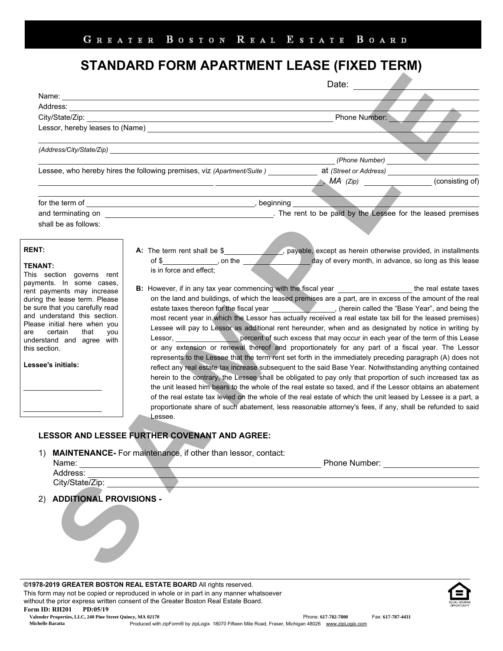## STANDARD FORM APARTMENT LEASE (FIXED TERM)

|                                                                 |                                                                                                                                                       | Date: $\frac{1}{2}$                                                                                                                                                                                                            |                 |
|-----------------------------------------------------------------|-------------------------------------------------------------------------------------------------------------------------------------------------------|--------------------------------------------------------------------------------------------------------------------------------------------------------------------------------------------------------------------------------|-----------------|
|                                                                 |                                                                                                                                                       |                                                                                                                                                                                                                                |                 |
|                                                                 |                                                                                                                                                       |                                                                                                                                                                                                                                |                 |
|                                                                 |                                                                                                                                                       | Phone Number:                                                                                                                                                                                                                  |                 |
|                                                                 |                                                                                                                                                       |                                                                                                                                                                                                                                |                 |
|                                                                 |                                                                                                                                                       |                                                                                                                                                                                                                                |                 |
|                                                                 |                                                                                                                                                       | (Phone Number)                                                                                                                                                                                                                 |                 |
|                                                                 | Lessee, who hereby hires the following premises, viz (Apartment/Suite) at (Street or Address)                                                         |                                                                                                                                                                                                                                |                 |
|                                                                 | <u> 1989 - Andrea Stein, amerikansk politik (d. 1989)</u>                                                                                             |                                                                                                                                                                                                                                | (consisting of) |
|                                                                 | the control of the control of the control of the control of the control of the control of                                                             |                                                                                                                                                                                                                                |                 |
|                                                                 |                                                                                                                                                       |                                                                                                                                                                                                                                |                 |
|                                                                 | and terminating on <b>was absoluted as the contract of the set of the leased premises</b> . The rent to be paid by the Lessee for the leased premises |                                                                                                                                                                                                                                |                 |
| shall be as follows:                                            |                                                                                                                                                       |                                                                                                                                                                                                                                |                 |
|                                                                 |                                                                                                                                                       |                                                                                                                                                                                                                                |                 |
| <b>RENT:</b>                                                    | A: The term rent shall be \$____________________, payable, except as herein otherwise provided, in installments                                       |                                                                                                                                                                                                                                |                 |
|                                                                 |                                                                                                                                                       | day of every month, in advance, so long as this lease                                                                                                                                                                          |                 |
| <b>TENANT:</b><br>This section governs rent                     | is in force and effect;                                                                                                                               |                                                                                                                                                                                                                                |                 |
| payments. In some cases,                                        |                                                                                                                                                       |                                                                                                                                                                                                                                |                 |
| rent payments may increase                                      | B: However, if in any tax year commencing with the fiscal year ___________________the real estate taxes                                               |                                                                                                                                                                                                                                |                 |
| during the lease term. Please                                   | on the land and buildings, of which the leased premises are a part, are in excess of the amount of the real                                           |                                                                                                                                                                                                                                |                 |
| be sure that you carefully read<br>and understand this section. | estate taxes thereon for the fiscal year ______________________, (herein called the "Base Year", and being the                                        |                                                                                                                                                                                                                                |                 |
| Please initial here when you                                    | most recent year in which the Lessor has actually received a real estate tax bill for the leased premises)                                            |                                                                                                                                                                                                                                |                 |
| certain that<br>you<br>are                                      | Lessee will pay to Lessor as additional rent hereunder, when and as designated by notice in writing by                                                |                                                                                                                                                                                                                                |                 |
| understand and agree with                                       | Lessor, <b>Example 1</b> percent of such excess that may occur in each year of the term of this Lease                                                 |                                                                                                                                                                                                                                |                 |
| this section.                                                   | or any extension or renewal thereof and proportionately for any part of a fiscal year. The Lessor                                                     |                                                                                                                                                                                                                                |                 |
| Lessee's initials:                                              | represents to the Lessee that the term rent set forth in the immediately preceding paragraph (A) does not                                             |                                                                                                                                                                                                                                |                 |
|                                                                 | reflect any real estate tax increase subsequent to the said Base Year. Notwithstanding anything contained                                             |                                                                                                                                                                                                                                |                 |
|                                                                 | herein to the contrary, the Lessee shall be obligated to pay only that proportion of such increased tax as                                            |                                                                                                                                                                                                                                |                 |
|                                                                 | the unit leased him bears to the whole of the real estate so taxed, and if the Lessor obtains an abatement                                            |                                                                                                                                                                                                                                |                 |
|                                                                 | of the real estate tax levied on the whole of the real estate of which the unit leased by Lessee is a part, a                                         |                                                                                                                                                                                                                                |                 |
|                                                                 | proportionate share of such abatement, less reasonable attorney's fees, if any, shall be refunded to said<br>Lessee.                                  |                                                                                                                                                                                                                                |                 |
|                                                                 |                                                                                                                                                       |                                                                                                                                                                                                                                |                 |
|                                                                 | <b>LESSOR AND LESSEE FURTHER COVENANT AND AGREE:</b>                                                                                                  |                                                                                                                                                                                                                                |                 |
| 1)                                                              | MAINTENANCE- For maintenance, if other than lessor, contact:                                                                                          |                                                                                                                                                                                                                                |                 |
|                                                                 | Name:                                                                                                                                                 | Phone Number: The Contract of the Number of the Contract of the Contract of the Contract of the Contract of the Contract of the Contract of the Contract of the Contract of the Contract of the Contract of the Contract of th |                 |
| Address:                                                        |                                                                                                                                                       |                                                                                                                                                                                                                                |                 |
| City/State/Zip:                                                 |                                                                                                                                                       |                                                                                                                                                                                                                                |                 |
| 2) ADDITIONAL PROVISIONS -                                      |                                                                                                                                                       |                                                                                                                                                                                                                                |                 |
|                                                                 |                                                                                                                                                       |                                                                                                                                                                                                                                |                 |
|                                                                 |                                                                                                                                                       |                                                                                                                                                                                                                                |                 |
|                                                                 |                                                                                                                                                       |                                                                                                                                                                                                                                |                 |
| $\overrightarrow{ }$                                            |                                                                                                                                                       |                                                                                                                                                                                                                                |                 |
|                                                                 |                                                                                                                                                       |                                                                                                                                                                                                                                |                 |
|                                                                 |                                                                                                                                                       |                                                                                                                                                                                                                                |                 |
|                                                                 |                                                                                                                                                       |                                                                                                                                                                                                                                |                 |

©1978-2019 GREATER BOSTON REAL ESTATE BOARD All rights reserved. This form may not be copied or reproduced in whole or in part in any manner whatsoever without the prior express written consent of the Greater Boston Real Estate Board. Form ID: RH201 PD:05/19

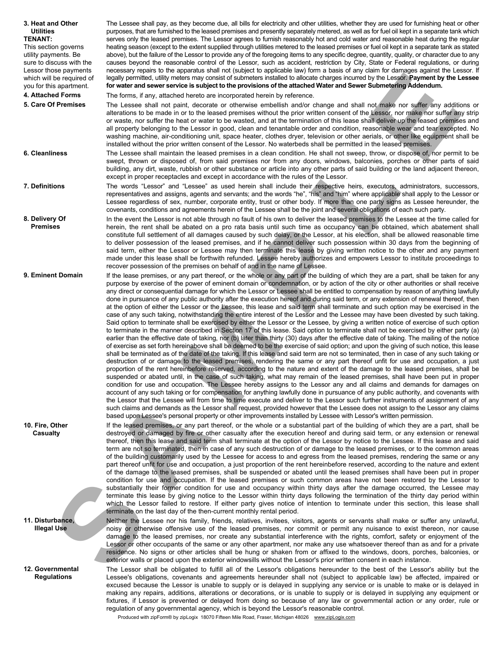| 3. Heat and Other<br><b>Utilities</b><br><b>TENANT:</b><br>This section governs<br>utility payments. Be<br>sure to discuss with the<br>Lessor those payments<br>which will be required of<br>you for this apartment.<br>4. Attached Forms<br>5. Care Of Premises | The Lessee shall pay, as they become due, all bills for electricity and other utilities, whether they are used for furnishing heat or other<br>purposes, that are furnished to the leased premises and presently separately metered, as well as for fuel oil kept in a separate tank which<br>serves only the leased premises. The Lessor agrees to furnish reasonably hot and cold water and reasonable heat during the regular<br>heating season (except to the extent supplied through utilities metered to the leased premises or fuel oil kept in a separate tank as stated<br>above), but the failure of the Lessor to provide any of the foregoing items to any specific degree, quantity, quality, or character due to any<br>causes beyond the reasonable control of the Lessor, such as accident, restriction by City, State or Federal regulations, or during<br>necessary repairs to the apparatus shall not (subject to applicable law) form a basis of any claim for damages against the Lessor. If<br>legally permitted, utility meters may consist of submeters installed to allocate charges incurred by the Lessor. Payment by the Lessee<br>for water and sewer service is subject to the provisions of the attached Water and Sewer Submetering Addendum.<br>The forms, if any, attached hereto are incorporated herein by reference.<br>The Lessee shall not paint, decorate or otherwise embellish and/or change and shall not make nor suffer any additions or<br>alterations to be made in or to the leased premises without the prior written consent of the Lessor, nor make nor suffer any strip<br>or waste, nor suffer the heat or water to be wasted, and at the termination of this lease shall deliver up the leased premises and<br>all property belonging to the Lessor in good, clean and tenantable order and condition, reasonable wear and tear excepted. No<br>washing machine, air-conditioning unit, space heater, clothes dryer, television or other aerials, or other like equipment shall be                                                                                                                                                                                                                                                                                                                                                                                                                                                                                                                                                                                   |
|------------------------------------------------------------------------------------------------------------------------------------------------------------------------------------------------------------------------------------------------------------------|----------------------------------------------------------------------------------------------------------------------------------------------------------------------------------------------------------------------------------------------------------------------------------------------------------------------------------------------------------------------------------------------------------------------------------------------------------------------------------------------------------------------------------------------------------------------------------------------------------------------------------------------------------------------------------------------------------------------------------------------------------------------------------------------------------------------------------------------------------------------------------------------------------------------------------------------------------------------------------------------------------------------------------------------------------------------------------------------------------------------------------------------------------------------------------------------------------------------------------------------------------------------------------------------------------------------------------------------------------------------------------------------------------------------------------------------------------------------------------------------------------------------------------------------------------------------------------------------------------------------------------------------------------------------------------------------------------------------------------------------------------------------------------------------------------------------------------------------------------------------------------------------------------------------------------------------------------------------------------------------------------------------------------------------------------------------------------------------------------------------------------------------------------------------------------------------------------------------------------------------------------------------------------------------------------------------------------------------------------------------------------------------------------------------------------------------------------------------------------------------------------------------------------------------------------------------------------------------------------------------------|
| 6. Cleanliness                                                                                                                                                                                                                                                   | installed without the prior written consent of the Lessor. No waterbeds shall be permitted in the leased premises.<br>The Lessee shall maintain the leased premises in a clean condition. He shall not sweep, throw, or dispose of, nor permit to be<br>swept, thrown or disposed of, from said premises nor from any doors, windows, balconies, porches or other parts of said<br>building, any dirt, waste, rubbish or other substance or article into any other parts of said building or the land adjacent thereon,<br>except in proper receptacles and except in accordance with the rules of the Lessor.                                                                                                                                                                                                                                                                                                                                                                                                                                                                                                                                                                                                                                                                                                                                                                                                                                                                                                                                                                                                                                                                                                                                                                                                                                                                                                                                                                                                                                                                                                                                                                                                                                                                                                                                                                                                                                                                                                                                                                                                             |
| 7. Definitions                                                                                                                                                                                                                                                   | The words "Lessor" and "Lessee" as used herein shall include their respective heirs, executors, administrators, successors,<br>representatives and assigns, agents and servants; and the words "he", "his" and "him" where applicable shall apply to the Lessor or<br>Lessee regardless of sex, number, corporate entity, trust or other body. If more than one party signs as Lessee hereunder, the<br>covenants, conditions and agreements herein of the Lessee shall be the joint and several obligations of each such party.                                                                                                                                                                                                                                                                                                                                                                                                                                                                                                                                                                                                                                                                                                                                                                                                                                                                                                                                                                                                                                                                                                                                                                                                                                                                                                                                                                                                                                                                                                                                                                                                                                                                                                                                                                                                                                                                                                                                                                                                                                                                                           |
| 8. Delivery Of<br><b>Premises</b>                                                                                                                                                                                                                                | In the event the Lessor is not able through no fault of his own to deliver the leased premises to the Lessee at the time called for<br>herein, the rent shall be abated on a pro rata basis until such time as occupancy can be obtained, which abatement shall<br>constitute full settlement of all damages caused by such delay, or the Lessor, at his election, shall be allowed reasonable time<br>to deliver possession of the leased premises, and if he cannot deliver such possession within 30 days from the beginning of<br>said term, either the Lessor or Lessee may then terminate this lease by giving written notice to the other and any payment<br>made under this lease shall be forthwith refunded. Lessee hereby authorizes and empowers Lessor to institute proceedings to<br>recover possession of the premises on behalf of and in the name of Lessee.                                                                                                                                                                                                                                                                                                                                                                                                                                                                                                                                                                                                                                                                                                                                                                                                                                                                                                                                                                                                                                                                                                                                                                                                                                                                                                                                                                                                                                                                                                                                                                                                                                                                                                                                              |
| 9. Eminent Domain                                                                                                                                                                                                                                                | If the lease premises, or any part thereof, or the whole or any part of the building of which they are a part, shall be taken for any<br>purpose by exercise of the power of eminent domain or condemnation, or by action of the city or other authorities or shall receive<br>any direct or consequential damage for which the Lessor or Lessee shall be entitled to compensation by reason of anything lawfully<br>done in pursuance of any public authority after the execution hereof and during said term, or any extension of renewal thereof, then<br>at the option of either the Lessor or the Lessee, this lease and said term shall terminate and such option may be exercised in the<br>case of any such taking, notwithstanding the entire interest of the Lessor and the Lessee may have been divested by such taking.<br>Said option to terminate shall be exercised by either the Lessor or the Lessee, by giving a written notice of exercise of such option<br>to terminate in the manner described in Section 17 of this lease. Said option to terminate shall not be exercised by either party (a)<br>earlier than the effective date of taking, nor (b) later than thirty (30) days after the effective date of taking. The mailing of the notice<br>of exercise as set forth hereinabove shall be deemed to be the exercise of said option; and upon the giving of such notice, this lease<br>shall be terminated as of the date of the taking. If this lease and said term are not so terminated, then in case of any such taking or<br>destruction of or damage to the leased premises, rendering the same or any part thereof unfit for use and occupation, a just<br>proportion of the rent hereinbefore reserved, according to the nature and extent of the damage to the leased premises, shall be<br>suspended or abated until, in the case of such taking, what may remain of the leased premises, shall have been put in proper<br>condition for use and occupation. The Lessee hereby assigns to the Lessor any and all claims and demands for damages on<br>account of any such taking or for compensation for anything lawfully done in pursuance of any public authority, and covenants with<br>the Lessor that the Lessee will from time to time execute and deliver to the Lessor such further instruments of assignment of any<br>such claims and demands as the Lessor shall request, provided however that the Lessee does not assign to the Lessor any claims<br>based upon Lessee's personal property or other improvements installed by Lessee with Lessor's written permission. |
| 10. Fire, Other<br>Casualty                                                                                                                                                                                                                                      | If the leased premises, or any part thereof, or the whole or a substantial part of the building of which they are a part, shall be<br>destroyed or damaged by fire or other casualty after the execution hereof and during said term, or any extension or renewal<br>thereof, then this lease and said term shall terminate at the option of the Lessor by notice to the Lessee. If this lease and said<br>term are not so terminated, then in case of any such destruction of or damage to the leased premises, or to the common areas<br>of the building customarily used by the Lessee for access to and egress from the leased premises, rendering the same or any<br>part thereof unfit for use and occupation, a just proportion of the rent hereinbefore reserved, according to the nature and extent<br>of the damage to the leased premises, shall be suspended or abated until the leased premises shall have been put in proper<br>condition for use and occupation. If the leased premises or such common areas have not been restored by the Lessor to<br>substantially their former condition for use and occupancy within thirty days after the damage occurred, the Lessee may<br>terminate this lease by giving notice to the Lessor within thirty days following the termination of the thirty day period within<br>which the Lessor failed to restore. If either party gives notice of intention to terminate under this section, this lease shall<br>terminate on the last day of the then-current monthly rental period.                                                                                                                                                                                                                                                                                                                                                                                                                                                                                                                                                                                                                                                                                                                                                                                                                                                                                                                                                                                                                                                                              |
| 11. Disturbance,<br><b>Illegal Use</b>                                                                                                                                                                                                                           | Neither the Lessee nor his family, friends, relatives, invitees, visitors, agents or servants shall make or suffer any unlawful,<br>noisy or otherwise offensive use of the leased premises, nor commit or permit any nuisance to exist thereon, nor cause<br>damage to the leased premises, nor create any substantial interference with the rights, comfort, safety or enjoyment of the<br>Lessor or other occupants of the same or any other apartment, nor make any use whatsoever thereof than as and for a private<br>residence. No signs or other articles shall be hung or shaken from or affixed to the windows, doors, porches, balconies, or<br>exterior walls or placed upon the exterior windowsills without the Lessor's prior written consent in each instance.                                                                                                                                                                                                                                                                                                                                                                                                                                                                                                                                                                                                                                                                                                                                                                                                                                                                                                                                                                                                                                                                                                                                                                                                                                                                                                                                                                                                                                                                                                                                                                                                                                                                                                                                                                                                                                             |
| 12. Governmental<br><b>Regulations</b>                                                                                                                                                                                                                           | The Lessor shall be obligated to fulfill all of the Lessor's obligations hereunder to the best of the Lessor's ability but the<br>Lessee's obligations, covenants and agreements hereunder shall not (subject to applicable law) be affected, impaired or<br>excused because the Lessor is unable to supply or is delayed in supplying any service or is unable to make or is delayed in<br>making any repairs, additions, alterations or decorations, or is unable to supply or is delayed in supplying any equipment or<br>fixtures, if Lessor is prevented or delayed from doing so because of any law or governmental action or any order, rule or<br>regulation of any governmental agency, which is beyond the Lessor's reasonable control.                                                                                                                                                                                                                                                                                                                                                                                                                                                                                                                                                                                                                                                                                                                                                                                                                                                                                                                                                                                                                                                                                                                                                                                                                                                                                                                                                                                                                                                                                                                                                                                                                                                                                                                                                                                                                                                                          |

Produced with zipForm® by zipLogix 18070 Fifteen Mile Road, Fraser, Michigan 48026 www.zipLogix.com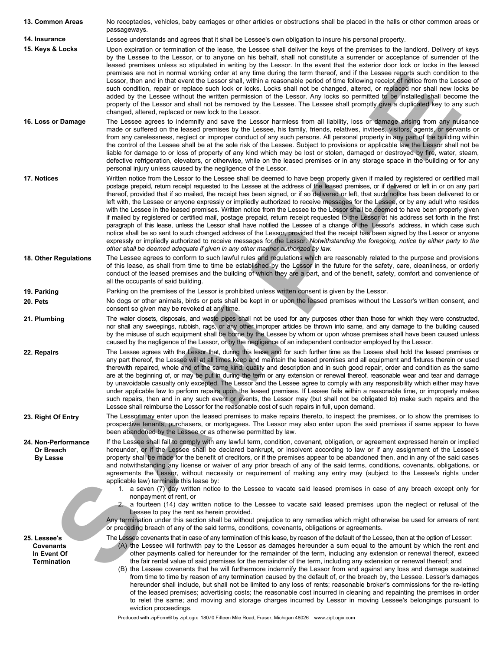| 13. Common Areas                                                      | No receptacles, vehicles, baby carriages or other articles or obstructions shall be placed in the halls or other common areas or<br>passageways.                                                                                                                                                                                                                                                                                                                                                                                                                                                                                                                                                                                                                                                                                                                                                                                                                                                                                                                                                                                                                                                                                                                                                                                                |
|-----------------------------------------------------------------------|-------------------------------------------------------------------------------------------------------------------------------------------------------------------------------------------------------------------------------------------------------------------------------------------------------------------------------------------------------------------------------------------------------------------------------------------------------------------------------------------------------------------------------------------------------------------------------------------------------------------------------------------------------------------------------------------------------------------------------------------------------------------------------------------------------------------------------------------------------------------------------------------------------------------------------------------------------------------------------------------------------------------------------------------------------------------------------------------------------------------------------------------------------------------------------------------------------------------------------------------------------------------------------------------------------------------------------------------------|
| 14. Insurance                                                         | Lessee understands and agrees that it shall be Lessee's own obligation to insure his personal property.                                                                                                                                                                                                                                                                                                                                                                                                                                                                                                                                                                                                                                                                                                                                                                                                                                                                                                                                                                                                                                                                                                                                                                                                                                         |
| 15. Keys & Locks                                                      | Upon expiration or termination of the lease, the Lessee shall deliver the keys of the premises to the landlord. Delivery of keys<br>by the Lessee to the Lessor, or to anyone on his behalf, shall not constitute a surrender or acceptance of surrender of the<br>leased premises unless so stipulated in writing by the Lessor. In the event that the exterior door lock or locks in the leased<br>premises are not in normal working order at any time during the term thereof, and if the Lessee reports such condition to the<br>Lessor, then and in that event the Lessor shall, within a reasonable period of time following receipt of notice from the Lessee of<br>such condition, repair or replace such lock or locks. Locks shall not be changed, altered, or replaced nor shall new locks be<br>added by the Lessee without the written permission of the Lessor. Any locks so permitted to be installed shall become the<br>property of the Lessor and shall not be removed by the Lessee. The Lessee shall promptly give a duplicated key to any such<br>changed, altered, replaced or new lock to the Lessor.                                                                                                                                                                                                                   |
| 16. Loss or Damage                                                    | The Lessee agrees to indemnify and save the Lessor harmless from all liability, loss or damage arising from any nuisance<br>made or suffered on the leased premises by the Lessee, his family, friends, relatives, invitees, visitors, agents, or servants or<br>from any carelessness, neglect or improper conduct of any such persons. All personal property in any part of the building within<br>the control of the Lessee shall be at the sole risk of the Lessee. Subject to provisions or applicable law the Lessor shall not be<br>liable for damage to or loss of property of any kind which may be lost or stolen, damaged or destroyed by fire, water, steam,<br>defective refrigeration, elevators, or otherwise, while on the leased premises or in any storage space in the building or for any<br>personal injury unless caused by the negligence of the Lessor.                                                                                                                                                                                                                                                                                                                                                                                                                                                                 |
| 17. Notices                                                           | Written notice from the Lessor to the Lessee shall be deemed to have been properly given if mailed by registered or certified mail<br>postage prepaid, return receipt requested to the Lessee at the address of the leased premises, or if delivered or left in or on any part<br>thereof, provided that if so mailed, the receipt has been signed, or if so delivered or left, that such notice has been delivered to or<br>left with, the Lessee or anyone expressly or impliedly authorized to receive messages for the Lessee, or by any adult who resides<br>with the Lessee in the leased premises. Written notice from the Lessee to the Lessor shall be deemed to have been properly given<br>if mailed by registered or certified mail, postage prepaid, return receipt requested to the Lessor at his address set forth in the first<br>paragraph of this lease, unless the Lessor shall have notified the Lessee of a change of the Lessor's address, in which case such<br>notice shall be so sent to such changed address of the Lessor, provided that the receipt has been signed by the Lessor or anyone<br>expressly or impliedly authorized to receive messages for the Lesson. Notwithstanding the foregoing, notice by either party to the<br>other shall be deemed adequate if given in any other manner authorized by law. |
| 18. Other Regulations                                                 | The Lessee agrees to conform to such lawful rules and regulations which are reasonably related to the purpose and provisions<br>of this lease, as shall from time to time be established by the Lessor in the future for the safety, care, cleanliness, or orderly<br>conduct of the leased premises and the building of which they are a part, and of the benefit, safety, comfort and convenience of<br>all the occupants of said building.                                                                                                                                                                                                                                                                                                                                                                                                                                                                                                                                                                                                                                                                                                                                                                                                                                                                                                   |
| 19. Parking                                                           | Parking on the premises of the Lessor is prohibited unless written consent is given by the Lessor.                                                                                                                                                                                                                                                                                                                                                                                                                                                                                                                                                                                                                                                                                                                                                                                                                                                                                                                                                                                                                                                                                                                                                                                                                                              |
| 20. Pets                                                              | No dogs or other animals, birds or pets shall be kept in or upon the leased premises without the Lessor's written consent, and<br>consent so given may be revoked at any time.                                                                                                                                                                                                                                                                                                                                                                                                                                                                                                                                                                                                                                                                                                                                                                                                                                                                                                                                                                                                                                                                                                                                                                  |
| 21. Plumbing                                                          | The water closets, disposals, and waste pipes shall not be used for any purposes other than those for which they were constructed,<br>nor shall any sweepings, rubbish, rags, or any other improper articles be thrown into same, and any damage to the building caused<br>by the misuse of such equipment shall be borne by the Lessee by whom or upon whose premises shall have been caused unless<br>caused by the negligence of the Lessor, or by the negligence of an independent contractor employed by the Lessor.                                                                                                                                                                                                                                                                                                                                                                                                                                                                                                                                                                                                                                                                                                                                                                                                                       |
| 22. Repairs                                                           | The Lessee agrees with the Lessor that, during this lease and for such further time as the Lessee shall hold the leased premises or<br>any part thereof, the Lessee will at all times keep and maintain the leased premises and all equipment and fixtures therein or used<br>therewith repaired, whole and of the same kind, quality and description and in such good repair, order and condition as the same<br>are at the beginning of, or may be put in during the term or any extension or renewal thereof, reasonable wear and tear and damage<br>by unavoidable casualty only excepted. The Lessor and the Lessee agree to comply with any responsibility which either may have<br>under applicable law to perform repairs upon the leased premises. If Lessee fails within a reasonable time, or improperly makes<br>such repairs, then and in any such event or events, the Lessor may (but shall not be obligated to) make such repairs and the<br>Lessee shall reimburse the Lessor for the reasonable cost of such repairs in full, upon demand.                                                                                                                                                                                                                                                                                    |
| 23. Right Of Entry                                                    | The Lessor may enter upon the leased premises to make repairs thereto, to inspect the premises, or to show the premises to<br>prospective tenants, purchasers, or mortgagees. The Lessor may also enter upon the said premises if same appear to have<br>been abandoned by the Lessee or as otherwise permitted by law.                                                                                                                                                                                                                                                                                                                                                                                                                                                                                                                                                                                                                                                                                                                                                                                                                                                                                                                                                                                                                         |
| 24. Non-Performance<br>Or Breach<br><b>By Lesse</b>                   | If the Lessee shall fail to comply with any lawful term, condition, covenant, obligation, or agreement expressed herein or implied<br>hereunder, or if the Lessee shall be declared bankrupt, or insolvent according to law or if any assignment of the Lessee's<br>property shall be made for the benefit of creditors, or if the premises appear to be abandoned then, and in any of the said cases<br>and notwithstanding any license or waiver of any prior breach of any of the said terms, conditions, covenants, obligations, or<br>agreements the Lessor, without necessity or requirement of making any entry may (subject to the Lessee's rights under<br>applicable law) terminate this lease by:                                                                                                                                                                                                                                                                                                                                                                                                                                                                                                                                                                                                                                    |
|                                                                       | 1. a seven (7) day written notice to the Lessee to vacate said leased premises in case of any breach except only for<br>nonpayment of rent, or<br>2. a fourteen (14) day written notice to the Lessee to vacate said leased premises upon the neglect or refusal of the<br>Lessee to pay the rent as herein provided.<br>Any termination under this section shall be without prejudice to any remedies which might otherwise be used for arrears of rent<br>or preceding breach of any of the said terms, conditions, covenants, obligations or agreements.                                                                                                                                                                                                                                                                                                                                                                                                                                                                                                                                                                                                                                                                                                                                                                                     |
| 25. Lessee's<br><b>Covenants</b><br>In Event Of<br><b>Termination</b> | The Lessee covenants that in case of any termination of this lease, by reason of the default of the Lessee, then at the option of Lessor:<br>(A) the Lessee will forthwith pay to the Lessor as damages hereunder a sum equal to the amount by which the rent and<br>other payments called for hereunder for the remainder of the term, including any extension or renewal thereof, exceed<br>the fair rental value of said premises for the remainder of the term, including any extension or renewal thereof; and<br>(B) the Lessee covenants that he will furthermore indemnify the Lessor from and against any loss and damage sustained<br>from time to time by reason of any termination caused by the default of, or the breach by, the Lessee. Lessor's damages<br>hereunder shall include, but shall not be limited to any loss of rents; reasonable broker's commissions for the re-letting<br>of the leased premises; advertising costs; the reasonable cost incurred in cleaning and repainting the premises in order<br>to relet the same; and moving and storage charges incurred by Lessor in moving Lessee's belongings pursuant to<br>eviction proceedings.                                                                                                                                                                    |

Produced with zipForm® by zipLogix 18070 Fifteen Mile Road, Fraser, Michigan 48026 www.zipLogix.com